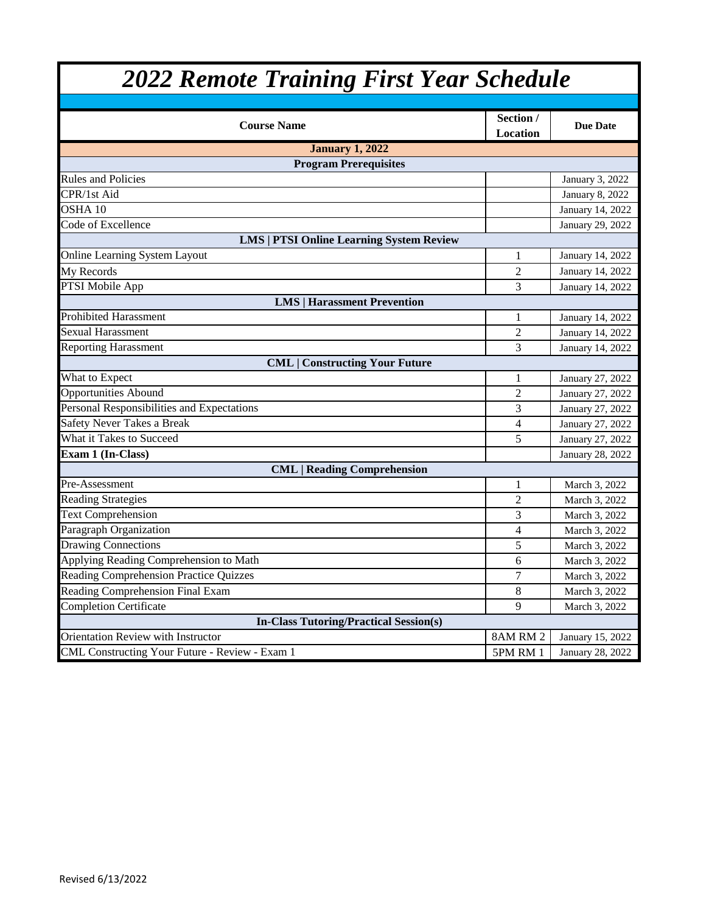| <b>2022 Remote Training First Year Schedule</b> |                              |                  |
|-------------------------------------------------|------------------------------|------------------|
|                                                 |                              |                  |
| <b>Course Name</b>                              | Section /<br><b>Location</b> | <b>Due Date</b>  |
| <b>January 1, 2022</b>                          |                              |                  |
| <b>Program Prerequisites</b>                    |                              |                  |
| <b>Rules and Policies</b>                       |                              | January 3, 2022  |
| CPR/1st Aid                                     |                              | January 8, 2022  |
| $OSHA$ 10                                       |                              | January 14, 2022 |
| Code of Excellence                              |                              | January 29, 2022 |
| <b>LMS   PTSI Online Learning System Review</b> |                              |                  |
| Online Learning System Layout                   | 1                            | January 14, 2022 |
| My Records                                      | $\overline{2}$               | January 14, 2022 |
| PTSI Mobile App                                 | 3                            | January 14, 2022 |
| <b>LMS   Harassment Prevention</b>              |                              |                  |
| <b>Prohibited Harassment</b>                    | 1                            | January 14, 2022 |
| Sexual Harassment                               | $\overline{2}$               | January 14, 2022 |
| <b>Reporting Harassment</b>                     | 3                            | January 14, 2022 |
| <b>CML   Constructing Your Future</b>           |                              |                  |
| What to Expect                                  | 1                            | January 27, 2022 |
| <b>Opportunities Abound</b>                     | $\overline{2}$               | January 27, 2022 |
| Personal Responsibilities and Expectations      | 3                            | January 27, 2022 |
| Safety Never Takes a Break                      | $\overline{4}$               | January 27, 2022 |
| What it Takes to Succeed                        | 5                            | January 27, 2022 |
| Exam 1 (In-Class)                               |                              | January 28, 2022 |
| <b>CML</b>   Reading Comprehension              |                              |                  |
| Pre-Assessment                                  | 1                            | March 3, 2022    |
| <b>Reading Strategies</b>                       | $\overline{2}$               | March 3, 2022    |
| <b>Text Comprehension</b>                       | 3                            | March 3, 2022    |
| Paragraph Organization                          | $\overline{4}$               | March 3, 2022    |
| <b>Drawing Connections</b>                      | 5                            | March 3, 2022    |
| Applying Reading Comprehension to Math          | 6                            | March 3, 2022    |
| Reading Comprehension Practice Quizzes          | $\tau$                       | March 3, 2022    |
| Reading Comprehension Final Exam                | 8                            | March 3, 2022    |
| <b>Completion Certificate</b>                   | 9                            | March 3, 2022    |
| <b>In-Class Tutoring/Practical Session(s)</b>   |                              |                  |
| Orientation Review with Instructor              | 8AM RM 2                     | January 15, 2022 |
| CML Constructing Your Future - Review - Exam 1  | 5PM RM 1                     | January 28, 2022 |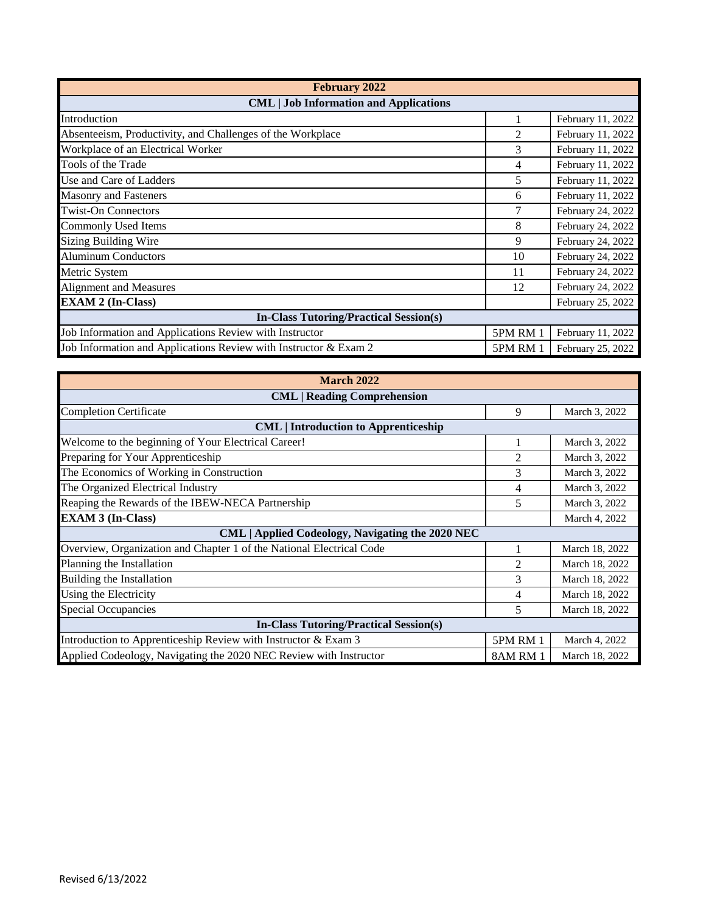| <b>February 2022</b>                                             |                 |                   |
|------------------------------------------------------------------|-----------------|-------------------|
| <b>CML</b>   Job Information and Applications                    |                 |                   |
| Introduction                                                     |                 | February 11, 2022 |
| Absenteeism, Productivity, and Challenges of the Workplace       | 2               | February 11, 2022 |
| Workplace of an Electrical Worker                                | 3               | February 11, 2022 |
| Tools of the Trade                                               | 4               | February 11, 2022 |
| Use and Care of Ladders                                          | 5               | February 11, 2022 |
| <b>Masonry and Fasteners</b>                                     | 6               | February 11, 2022 |
| <b>Twist-On Connectors</b>                                       |                 | February 24, 2022 |
| <b>Commonly Used Items</b>                                       | 8               | February 24, 2022 |
| <b>Sizing Building Wire</b>                                      | 9               | February 24, 2022 |
| <b>Aluminum Conductors</b>                                       | 10              | February 24, 2022 |
| Metric System                                                    | 11              | February 24, 2022 |
| Alignment and Measures                                           | 12              | February 24, 2022 |
| <b>EXAM 2 (In-Class)</b>                                         |                 | February 25, 2022 |
| <b>In-Class Tutoring/Practical Session(s)</b>                    |                 |                   |
| Job Information and Applications Review with Instructor          | <b>5PM RM 1</b> | February 11, 2022 |
| Job Information and Applications Review with Instructor & Exam 2 | <b>5PM RM 1</b> | February 25, 2022 |

| <b>March 2022</b>                                                    |          |                |  |
|----------------------------------------------------------------------|----------|----------------|--|
| <b>CML</b>   Reading Comprehension                                   |          |                |  |
| <b>Completion Certificate</b>                                        | 9        | March 3, 2022  |  |
| <b>CML</b>   Introduction to Apprenticeship                          |          |                |  |
| Welcome to the beginning of Your Electrical Career!                  |          | March 3, 2022  |  |
| Preparing for Your Apprenticeship                                    | 2        | March 3, 2022  |  |
| The Economics of Working in Construction                             | 3        | March 3, 2022  |  |
| The Organized Electrical Industry                                    | 4        | March 3, 2022  |  |
| Reaping the Rewards of the IBEW-NECA Partnership                     | 5        | March 3, 2022  |  |
| <b>EXAM 3 (In-Class)</b>                                             |          | March 4, 2022  |  |
| CML   Applied Codeology, Navigating the 2020 NEC                     |          |                |  |
| Overview, Organization and Chapter 1 of the National Electrical Code |          | March 18, 2022 |  |
| Planning the Installation                                            | 2        | March 18, 2022 |  |
| Building the Installation                                            | 3        | March 18, 2022 |  |
| Using the Electricity                                                | 4        | March 18, 2022 |  |
| <b>Special Occupancies</b>                                           | 5        | March 18, 2022 |  |
| <b>In-Class Tutoring/Practical Session(s)</b>                        |          |                |  |
| Introduction to Apprenticeship Review with Instructor & Exam 3       | 5PM RM 1 | March 4, 2022  |  |
| Applied Codeology, Navigating the 2020 NEC Review with Instructor    | 8AM RM 1 | March 18, 2022 |  |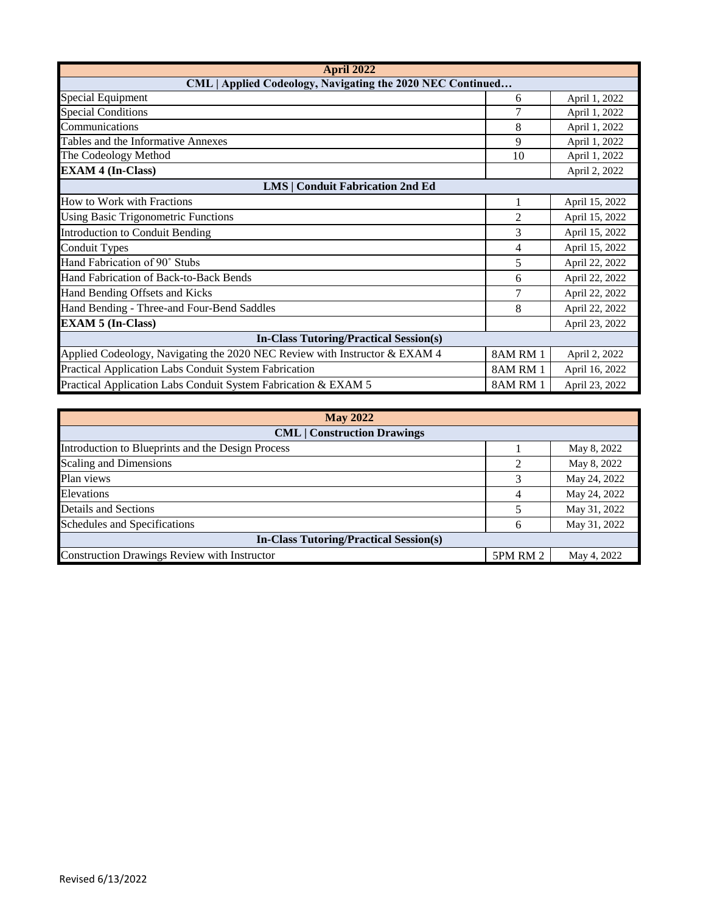| <b>April 2022</b>                                                          |                |                |
|----------------------------------------------------------------------------|----------------|----------------|
| CML   Applied Codeology, Navigating the 2020 NEC Continued                 |                |                |
| <b>Special Equipment</b>                                                   | 6              | April 1, 2022  |
| <b>Special Conditions</b>                                                  |                | April 1, 2022  |
| Communications                                                             | 8              | April 1, 2022  |
| Tables and the Informative Annexes                                         | 9              | April 1, 2022  |
| The Codeology Method                                                       | 10             | April 1, 2022  |
| <b>EXAM 4 (In-Class)</b>                                                   |                | April 2, 2022  |
| <b>LMS   Conduit Fabrication 2nd Ed</b>                                    |                |                |
| How to Work with Fractions                                                 |                | April 15, 2022 |
| <b>Using Basic Trigonometric Functions</b>                                 | $\overline{2}$ | April 15, 2022 |
| Introduction to Conduit Bending                                            | 3              | April 15, 2022 |
| <b>Conduit Types</b>                                                       | 4              | April 15, 2022 |
| Hand Fabrication of 90° Stubs                                              | 5              | April 22, 2022 |
| Hand Fabrication of Back-to-Back Bends                                     | 6              | April 22, 2022 |
| Hand Bending Offsets and Kicks                                             | 7              | April 22, 2022 |
| Hand Bending - Three-and Four-Bend Saddles                                 | 8              | April 22, 2022 |
| <b>EXAM 5 (In-Class)</b>                                                   |                | April 23, 2022 |
| <b>In-Class Tutoring/Practical Session(s)</b>                              |                |                |
| Applied Codeology, Navigating the 2020 NEC Review with Instructor & EXAM 4 | 8AM RM 1       | April 2, 2022  |
| Practical Application Labs Conduit System Fabrication                      | 8AM RM 1       | April 16, 2022 |
| Practical Application Labs Conduit System Fabrication & EXAM 5             | 8AM RM 1       | April 23, 2022 |

| <b>May 2022</b>                                     |          |              |
|-----------------------------------------------------|----------|--------------|
| <b>CML</b>   Construction Drawings                  |          |              |
| Introduction to Blueprints and the Design Process   |          | May 8, 2022  |
| Scaling and Dimensions                              |          | May 8, 2022  |
| Plan views                                          |          | May 24, 2022 |
| Elevations                                          |          | May 24, 2022 |
| <b>Details and Sections</b>                         |          | May 31, 2022 |
| Schedules and Specifications                        | h        | May 31, 2022 |
| <b>In-Class Tutoring/Practical Session(s)</b>       |          |              |
| <b>Construction Drawings Review with Instructor</b> | 5PM RM 2 | May 4, 2022  |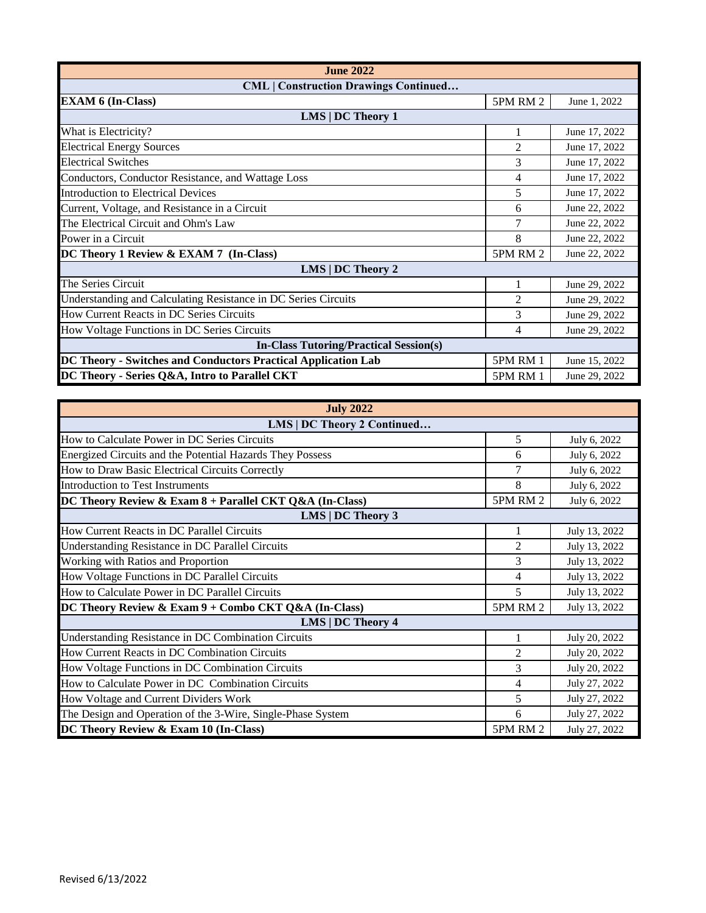| <b>June 2022</b>                                               |                 |               |
|----------------------------------------------------------------|-----------------|---------------|
| <b>CML</b>   Construction Drawings Continued                   |                 |               |
| <b>EXAM 6 (In-Class)</b>                                       | 5PM RM 2        | June 1, 2022  |
| $LMS$   DC Theory 1                                            |                 |               |
| What is Electricity?                                           | 1               | June 17, 2022 |
| <b>Electrical Energy Sources</b>                               | 2               | June 17, 2022 |
| <b>Electrical Switches</b>                                     | 3               | June 17, 2022 |
| Conductors, Conductor Resistance, and Wattage Loss             | 4               | June 17, 2022 |
| <b>Introduction to Electrical Devices</b>                      | 5               | June 17, 2022 |
| Current, Voltage, and Resistance in a Circuit                  | 6               | June 22, 2022 |
| The Electrical Circuit and Ohm's Law                           |                 | June 22, 2022 |
| Power in a Circuit                                             | 8               | June 22, 2022 |
| DC Theory 1 Review & EXAM 7 (In-Class)                         | 5PM RM 2        | June 22, 2022 |
| LMS   DC Theory 2                                              |                 |               |
| The Series Circuit                                             |                 | June 29, 2022 |
| Understanding and Calculating Resistance in DC Series Circuits | 2               | June 29, 2022 |
| How Current Reacts in DC Series Circuits                       | 3               | June 29, 2022 |
| How Voltage Functions in DC Series Circuits                    | 4               | June 29, 2022 |
| <b>In-Class Tutoring/Practical Session(s)</b>                  |                 |               |
| DC Theory - Switches and Conductors Practical Application Lab  | <b>5PM RM 1</b> | June 15, 2022 |
| DC Theory - Series Q&A, Intro to Parallel CKT                  | 5PM RM 1        | June 29, 2022 |

| <b>July 2022</b>                                            |                |               |
|-------------------------------------------------------------|----------------|---------------|
| LMS   DC Theory 2 Continued                                 |                |               |
| How to Calculate Power in DC Series Circuits                | 5              | July 6, 2022  |
| Energized Circuits and the Potential Hazards They Possess   | 6              | July 6, 2022  |
| How to Draw Basic Electrical Circuits Correctly             |                | July 6, 2022  |
| Introduction to Test Instruments                            | 8              | July 6, 2022  |
| DC Theory Review & Exam $8 +$ Parallel CKT Q&A (In-Class)   | 5PM RM 2       | July 6, 2022  |
| LMS   DC Theory 3                                           |                |               |
| How Current Reacts in DC Parallel Circuits                  |                | July 13, 2022 |
| Understanding Resistance in DC Parallel Circuits            | $\mathfrak{D}$ | July 13, 2022 |
| Working with Ratios and Proportion                          | 3              | July 13, 2022 |
| How Voltage Functions in DC Parallel Circuits               | 4              | July 13, 2022 |
| How to Calculate Power in DC Parallel Circuits              | 5              | July 13, 2022 |
| DC Theory Review & Exam 9 + Combo CKT Q&A (In-Class)        | 5PM RM 2       | July 13, 2022 |
| LMS   DC Theory 4                                           |                |               |
| Understanding Resistance in DC Combination Circuits         |                | July 20, 2022 |
| How Current Reacts in DC Combination Circuits               | $\overline{2}$ | July 20, 2022 |
| How Voltage Functions in DC Combination Circuits            | 3              | July 20, 2022 |
| How to Calculate Power in DC Combination Circuits           | 4              | July 27, 2022 |
| How Voltage and Current Dividers Work                       | 5              | July 27, 2022 |
| The Design and Operation of the 3-Wire, Single-Phase System | 6              | July 27, 2022 |
| DC Theory Review & Exam 10 (In-Class)                       | 5PM RM 2       | July 27, 2022 |